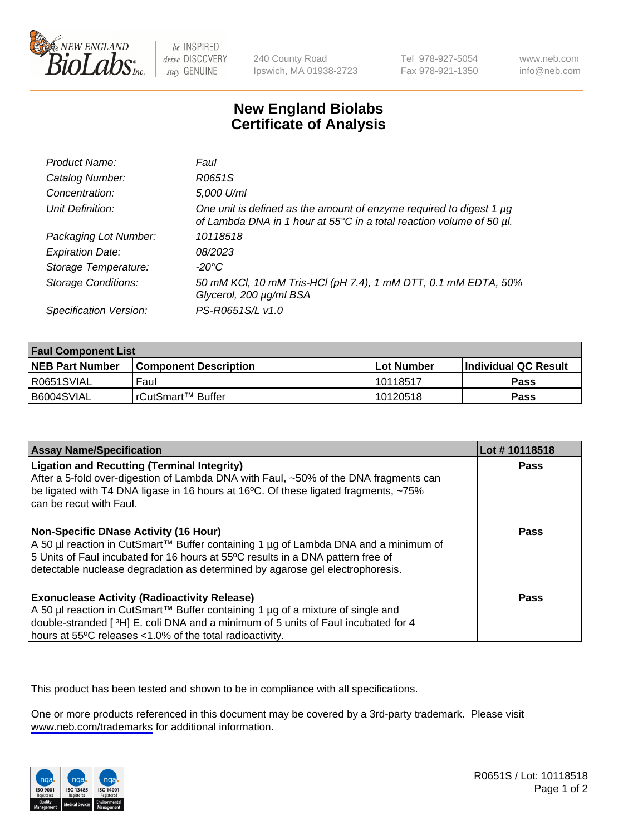

be INSPIRED drive DISCOVERY stay GENUINE

240 County Road Ipswich, MA 01938-2723 Tel 978-927-5054 Fax 978-921-1350

www.neb.com info@neb.com

## **New England Biolabs Certificate of Analysis**

| Product Name:              | Faul                                                                                                                                        |
|----------------------------|---------------------------------------------------------------------------------------------------------------------------------------------|
| Catalog Number:            | R0651S                                                                                                                                      |
| Concentration:             | 5,000 U/ml                                                                                                                                  |
| Unit Definition:           | One unit is defined as the amount of enzyme required to digest 1 µg<br>of Lambda DNA in 1 hour at 55°C in a total reaction volume of 50 µl. |
| Packaging Lot Number:      | 10118518                                                                                                                                    |
| <b>Expiration Date:</b>    | 08/2023                                                                                                                                     |
| Storage Temperature:       | -20°C                                                                                                                                       |
| <b>Storage Conditions:</b> | 50 mM KCl, 10 mM Tris-HCl (pH 7.4), 1 mM DTT, 0.1 mM EDTA, 50%<br>Glycerol, 200 µg/ml BSA                                                   |
| Specification Version:     | PS-R0651S/L v1.0                                                                                                                            |

| <b>Faul Component List</b> |                         |              |                             |  |
|----------------------------|-------------------------|--------------|-----------------------------|--|
| <b>NEB Part Number</b>     | l Component Description | l Lot Number | <b>Individual QC Result</b> |  |
| IR0651SVIAL                | Faul                    | l 10118517   | Pass                        |  |
| B6004SVIAL                 | l rCutSmart™ Buffer_    | 10120518     | Pass                        |  |

| <b>Assay Name/Specification</b>                                                                                                                                                                                                                                                                    | Lot #10118518 |
|----------------------------------------------------------------------------------------------------------------------------------------------------------------------------------------------------------------------------------------------------------------------------------------------------|---------------|
| <b>Ligation and Recutting (Terminal Integrity)</b><br>After a 5-fold over-digestion of Lambda DNA with Faul, ~50% of the DNA fragments can<br>be ligated with T4 DNA ligase in 16 hours at 16°C. Of these ligated fragments, ~75%<br>can be recut with Faul.                                       | Pass          |
| Non-Specific DNase Activity (16 Hour)<br>  A 50 µl reaction in CutSmart™ Buffer containing 1 µg of Lambda DNA and a minimum of<br>5 Units of Faul incubated for 16 hours at 55°C results in a DNA pattern free of<br>detectable nuclease degradation as determined by agarose gel electrophoresis. | Pass          |
| <b>Exonuclease Activity (Radioactivity Release)</b><br>  A 50 µl reaction in CutSmart™ Buffer containing 1 µg of a mixture of single and<br>double-stranded [3H] E. coli DNA and a minimum of 5 units of Faul incubated for 4<br>hours at 55°C releases <1.0% of the total radioactivity.          | Pass          |

This product has been tested and shown to be in compliance with all specifications.

One or more products referenced in this document may be covered by a 3rd-party trademark. Please visit <www.neb.com/trademarks>for additional information.